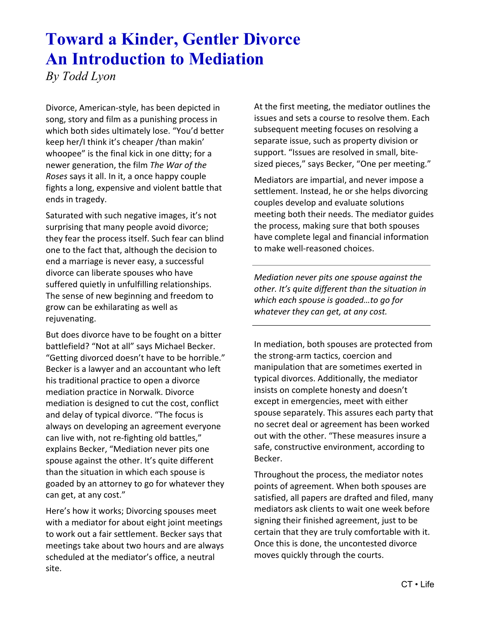## **Toward a Kinder, Gentler Divorce An Introduction to Mediation**

*By Todd Lyon*

Divorce, American-style, has been depicted in song, story and film as a punishing process in which both sides ultimately lose. "You'd better keep her/I think it's cheaper /than makin' whoopee" is the final kick in one ditty; for a newer generation, the film *The War of the Roses* says it all. In it, a once happy couple fights a long, expensive and violent battle that ends in tragedy.

Saturated with such negative images, it's not surprising that many people avoid divorce; they fear the process itself. Such fear can blind one to the fact that, although the decision to end a marriage is never easy, a successful divorce can liberate spouses who have suffered quietly in unfulfilling relationships. The sense of new beginning and freedom to grow can be exhilarating as well as rejuvenating.

But does divorce have to be fought on a bitter battlefield? "Not at all" says Michael Becker. "Getting divorced doesn't have to be horrible." Becker is a lawyer and an accountant who left his traditional practice to open a divorce mediation practice in Norwalk. Divorce mediation is designed to cut the cost, conflict and delay of typical divorce. "The focus is always on developing an agreement everyone can live with, not re-fighting old battles," explains Becker, "Mediation never pits one spouse against the other. It's quite different than the situation in which each spouse is goaded by an attorney to go for whatever they can get, at any cost."

Here's how it works; Divorcing spouses meet with a mediator for about eight joint meetings to work out a fair settlement. Becker says that meetings take about two hours and are always scheduled at the mediator's office, a neutral site.

At the first meeting, the mediator outlines the issues and sets a course to resolve them. Each subsequent meeting focuses on resolving a separate issue, such as property division or support. "Issues are resolved in small, bitesized pieces," says Becker, "One per meeting."

Mediators are impartial, and never impose a settlement. Instead, he or she helps divorcing couples develop and evaluate solutions meeting both their needs. The mediator guides the process, making sure that both spouses have complete legal and financial information to make well-reasoned choices.

*Mediation never pits one spouse against the other. It's quite different than the situation in which each spouse is goaded…to go for whatever they can get, at any cost.*

In mediation, both spouses are protected from the strong-arm tactics, coercion and manipulation that are sometimes exerted in typical divorces. Additionally, the mediator insists on complete honesty and doesn't except in emergencies, meet with either spouse separately. This assures each party that no secret deal or agreement has been worked out with the other. "These measures insure a safe, constructive environment, according to Becker.

Throughout the process, the mediator notes points of agreement. When both spouses are satisfied, all papers are drafted and filed, many mediators ask clients to wait one week before signing their finished agreement, just to be certain that they are truly comfortable with it. Once this is done, the uncontested divorce moves quickly through the courts.